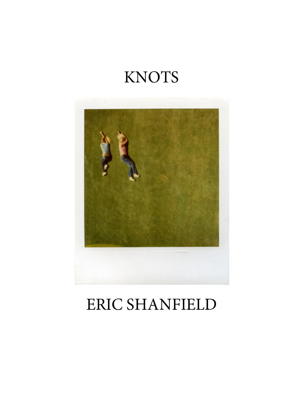

# ERIC SHANFIELD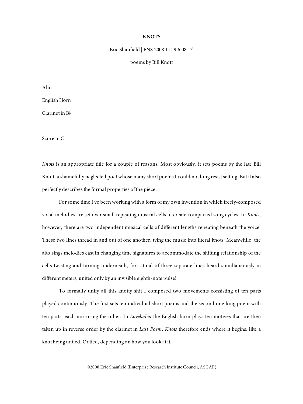Eric Shanfield | ENS.2008.11 | 9.6.08 | 7'

#### poems by Bill Knott

Alto

English Horn

Clarinet in B♭

Score in C

*Knots* is an appropriate title for a couple of reasons. Most obviously, it sets poems by the late Bill Knott, a shamefully neglected poet whose many short poems I could not long resist setting. But it also perfectly describes the formal properties of the piece.

For some time I've been working with a form of my own invention in which freely-composed vocal melodies are set over small repeating musical cells to create compacted song cycles. In *Knots*, however, there are two independent musical cells of different lengths repeating beneath the voice. These two lines thread in and out of one another, tying the music into literal knots. Meanwhile, the alto sings melodies cast in changing time signatures to accommodate the shifting relationship of the cells twisting and turning underneath, for a total of three separate lines heard simultaneously in different meters, united only by an invisible eighth-note pulse!

To formally unify all this knotty shit I composed two movements consisting of ten parts played continuously. The first sets ten individual short poems and the second one long poem with ten parts, each mirroring the other. In *Loveladen* the English horn plays ten motives that are then taken up in reverse order by the clarinet in *Last Poem*. *Knots* therefore ends where it begins, like a knot being untied. Or tied, depending on how you look at it.

©2008 Eric Shanfield (Enterprise Research Institute Council, ASCAP)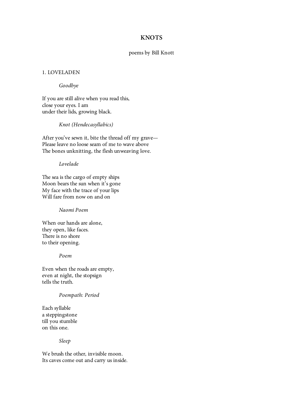#### poems by Bill Knott

#### 1. LOVELADEN

#### *Goodbye*

If you are still alive when you read this, close your eyes. I am under their lids, growing black.

#### *Knot (Hendecasyllabics)*

After you've sewn it, bite the thread off my grave— Please leave no loose seam of me to wave above The bones unknitting, the flesh unweaving love.

#### *Lovelade*

The sea is the cargo of empty ships Moon bears the sun when it's gone My face with the trace of your lips Will fare from now on and on

*Naomi Poem*

When our hands are alone, they open, like faces. There is no shore to their opening.

#### *Poem*

Even when the roads are empty, even at night, the stopsign tells the truth.

#### *Poempath: Period*

Each syllable a steppingstone till you stumble on this one.

*Sleep*

We brush the other, invisible moon. Its caves come out and carry us inside.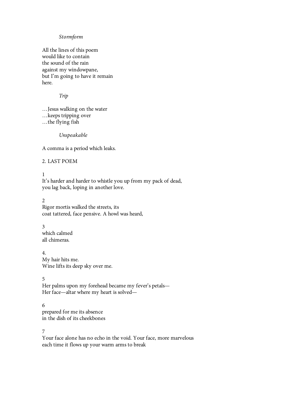#### *Stormform*

All the lines of this poem would like to contain the sound of the rain against my windowpane, but I'm going to have it remain here.

#### *Trip*

…Jesus walking on the water …keeps tripping over …the flying fish

*Unspeakable*

A comma is a period which leaks.

#### 2. LAST POEM

1

It's harder and harder to whistle you up from my pack of dead, you lag back, loping in another love.

2

Rigor mortis walked the streets, its coat tattered, face pensive. A howl was heard,

3 which calmed all chimeras.

4. My hair hits me. Wine lifts its deep sky over me.

5

Her palms upon my forehead became my fever's petals— Her face—altar where my heart is solved—

6

prepared for me its absence in the dish of its cheekbones

7

Your face alone has no echo in the void. Your face, more marvelous each time it flows up your warm arms to break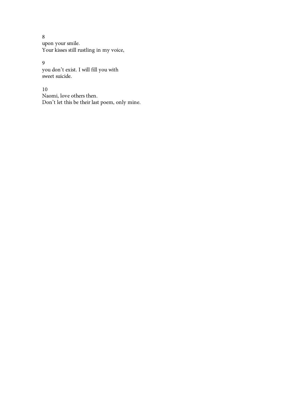upon your smile. Your kisses still rustling in my voice,

9 you don't exist. I will fill you with sweet suicide.

10 Naomi, love others then. Don't let this be their last poem, only mine.

8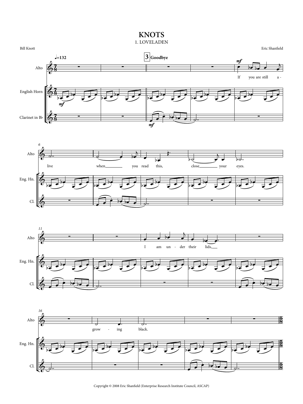### 1. LOVELADEN









Copyright © 2008 Eric Shanfield (Enterprise Research Institute Council, ASCAP)

Bill Knott

Eric Shanfield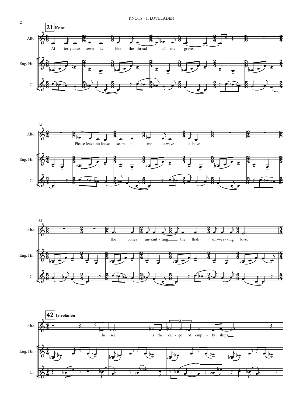





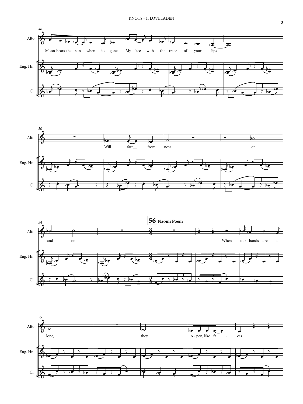





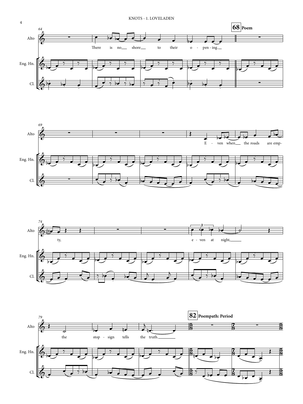





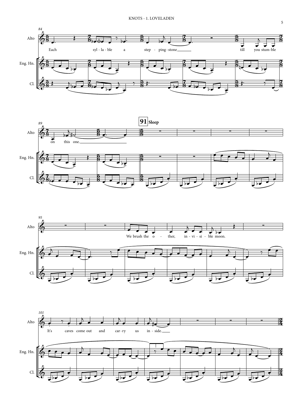





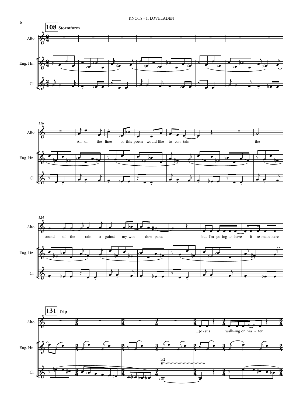





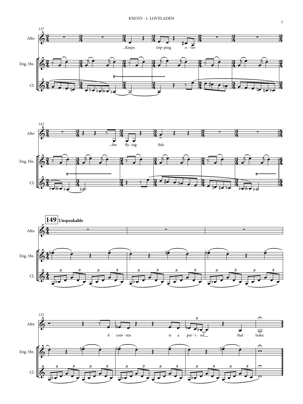





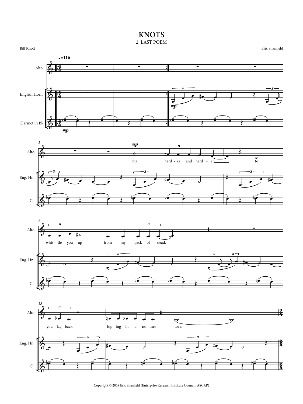### **KNOTS** 2. LAST POEM





Copyright © 2008 Eric Shanfield (Enterprise Research Institute Council, ASCAP)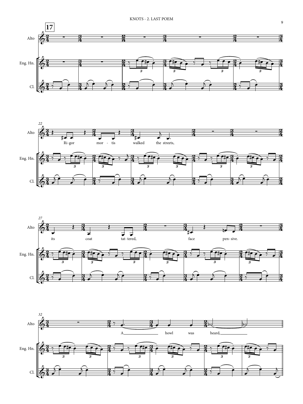





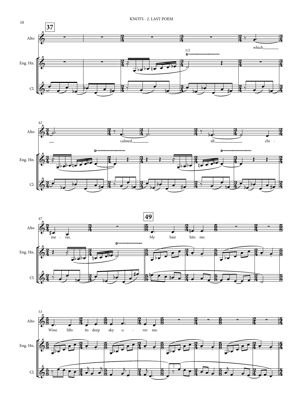





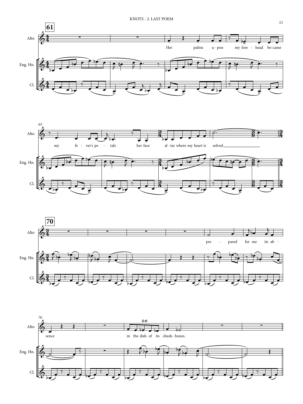





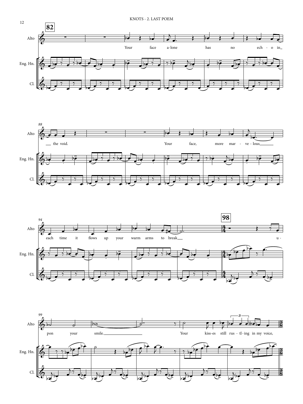